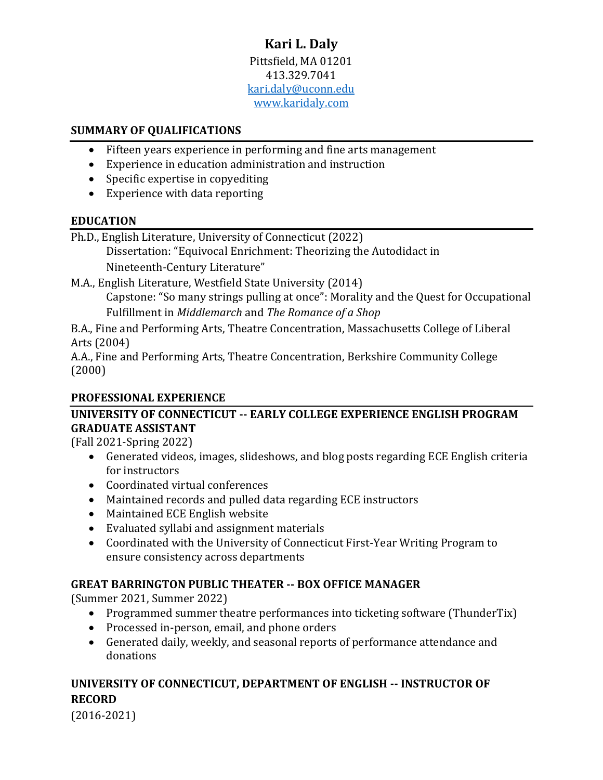## **Kari L. Daly** Pittsfield, MA 01201 413.329.7041 [kari.daly@uconn.edu](mailto:kari.daly@uconn.edu) [www.karidaly.com](file:///C:/Users/Kari/Documents/Prof%20Dev%20Stuff/Professional%20Documents/CVs%20and%20resumes/www.karidaly.com)

#### **SUMMARY OF QUALIFICATIONS**

- Fifteen years experience in performing and fine arts management
- Experience in education administration and instruction
- Specific expertise in copyediting
- Experience with data reporting

#### **EDUCATION**

Ph.D., English Literature, University of Connecticut (2022)

Dissertation: "Equivocal Enrichment: Theorizing the Autodidact in Nineteenth-Century Literature"

M.A., English Literature, Westfield State University (2014) Capstone: "So many strings pulling at once": Morality and the Quest for Occupational Fulfillment in *Middlemarch* and *The Romance of a Shop*

B.A., Fine and Performing Arts, Theatre Concentration, Massachusetts College of Liberal Arts (2004)

A.A., Fine and Performing Arts, Theatre Concentration, Berkshire Community College (2000)

#### **PROFESSIONAL EXPERIENCE**

## **UNIVERSITY OF CONNECTICUT -- EARLY COLLEGE EXPERIENCE ENGLISH PROGRAM GRADUATE ASSISTANT**

(Fall 2021-Spring 2022)

- Generated videos, images, slideshows, and blog posts regarding ECE English criteria for instructors
- Coordinated virtual conferences
- Maintained records and pulled data regarding ECE instructors
- Maintained ECE English website
- Evaluated syllabi and assignment materials
- Coordinated with the University of Connecticut First-Year Writing Program to ensure consistency across departments

#### **GREAT BARRINGTON PUBLIC THEATER -- BOX OFFICE MANAGER**

(Summer 2021, Summer 2022)

- Programmed summer theatre performances into ticketing software (ThunderTix)
- Processed in-person, email, and phone orders
- Generated daily, weekly, and seasonal reports of performance attendance and donations

# **UNIVERSITY OF CONNECTICUT, DEPARTMENT OF ENGLISH -- INSTRUCTOR OF RECORD**

(2016-2021)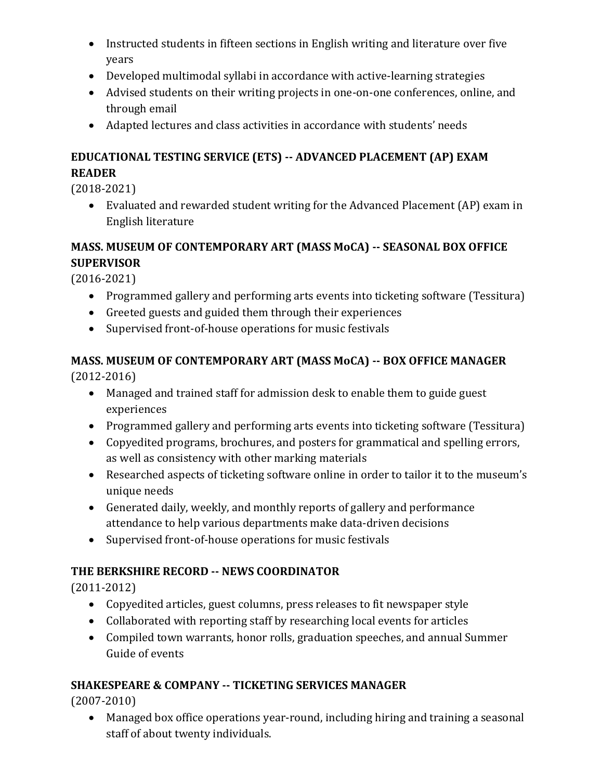- Instructed students in fifteen sections in English writing and literature over five years
- Developed multimodal syllabi in accordance with active-learning strategies
- Advised students on their writing projects in one-on-one conferences, online, and through email
- Adapted lectures and class activities in accordance with students' needs

# **EDUCATIONAL TESTING SERVICE (ETS) -- ADVANCED PLACEMENT (AP) EXAM READER**

(2018-2021)

• Evaluated and rewarded student writing for the Advanced Placement (AP) exam in English literature

# **MASS. MUSEUM OF CONTEMPORARY ART (MASS MoCA) -- SEASONAL BOX OFFICE SUPERVISOR**

(2016-2021)

- Programmed gallery and performing arts events into ticketing software (Tessitura)
- Greeted guests and guided them through their experiences
- Supervised front-of-house operations for music festivals

# **MASS. MUSEUM OF CONTEMPORARY ART (MASS MoCA) -- BOX OFFICE MANAGER**

(2012-2016)

- Managed and trained staff for admission desk to enable them to guide guest experiences
- Programmed gallery and performing arts events into ticketing software (Tessitura)
- Copyedited programs, brochures, and posters for grammatical and spelling errors, as well as consistency with other marking materials
- Researched aspects of ticketing software online in order to tailor it to the museum's unique needs
- Generated daily, weekly, and monthly reports of gallery and performance attendance to help various departments make data-driven decisions
- Supervised front-of-house operations for music festivals

# **THE BERKSHIRE RECORD -- NEWS COORDINATOR**

(2011-2012)

- Copyedited articles, guest columns, press releases to fit newspaper style
- Collaborated with reporting staff by researching local events for articles
- Compiled town warrants, honor rolls, graduation speeches, and annual Summer Guide of events

# **SHAKESPEARE & COMPANY -- TICKETING SERVICES MANAGER**

(2007-2010)

• Managed box office operations year-round, including hiring and training a seasonal staff of about twenty individuals.